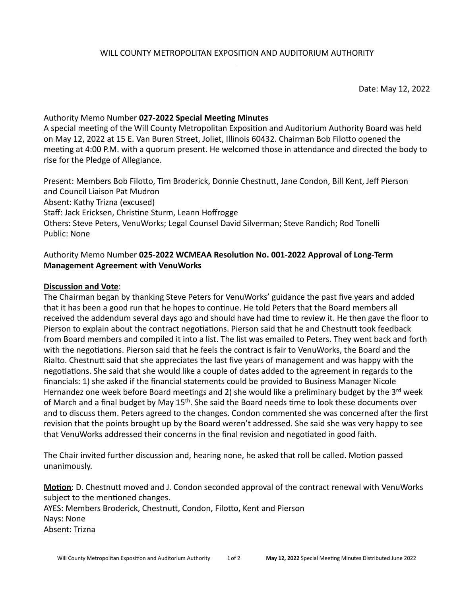Date: May 12, 2022

## Authority Memo Number **027-2022 Special Meeting Minutes**

A special meeting of the Will County Metropolitan Exposition and Auditorium Authority Board was held on May 12, 2022 at 15 E. Van Buren Street, Joliet, Illinois 60432. Chairman Bob Filotto opened the meeting at 4:00 P.M. with a quorum present. He welcomed those in attendance and directed the body to rise for the Pledge of Allegiance.

Present: Members Bob Filotto, Tim Broderick, Donnie Chestnutt, Jane Condon, Bill Kent, Jeff Pierson and Council Liaison Pat Mudron Absent: Kathy Trizna (excused) Staff: Jack Ericksen, Christine Sturm, Leann Hoffrogge Others: Steve Peters, VenuWorks; Legal Counsel David Silverman; Steve Randich; Rod Tonelli Public: None

# Authority Memo Number 025-2022 WCMEAA Resolution No. 001-2022 Approval of Long-Term **Management Agreement with VenuWorks**

## **Discussion and Vote:**

The Chairman began by thanking Steve Peters for VenuWorks' guidance the past five years and added that it has been a good run that he hopes to continue. He told Peters that the Board members all received the addendum several days ago and should have had time to review it. He then gave the floor to Pierson to explain about the contract negotiations. Pierson said that he and Chestnutt took feedback from Board members and compiled it into a list. The list was emailed to Peters. They went back and forth with the negotiations. Pierson said that he feels the contract is fair to VenuWorks, the Board and the Rialto. Chestnutt said that she appreciates the last five years of management and was happy with the negotiations. She said that she would like a couple of dates added to the agreement in regards to the financials: 1) she asked if the financial statements could be provided to Business Manager Nicole Hernandez one week before Board meetings and 2) she would like a preliminary budget by the 3<sup>rd</sup> week of March and a final budget by May 15<sup>th</sup>. She said the Board needs time to look these documents over and to discuss them. Peters agreed to the changes. Condon commented she was concerned after the first revision that the points brought up by the Board weren't addressed. She said she was very happy to see that VenuWorks addressed their concerns in the final revision and negotiated in good faith.

The Chair invited further discussion and, hearing none, he asked that roll be called. Motion passed unanimously. 

**Motion**: D. Chestnutt moved and J. Condon seconded approval of the contract renewal with VenuWorks subject to the mentioned changes. AYES: Members Broderick, Chestnutt, Condon, Filotto, Kent and Pierson Nays: None Absent: Trizna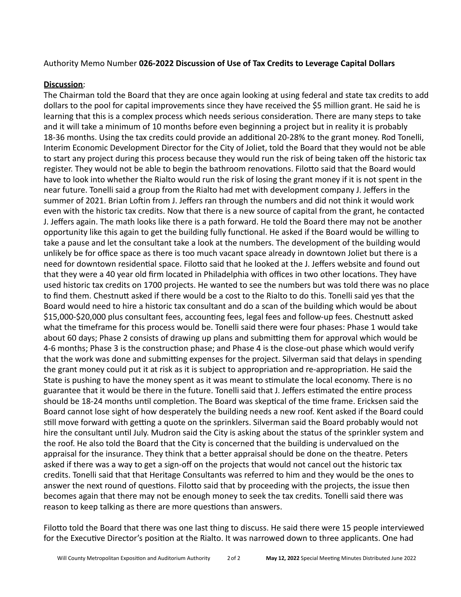## Authority Memo Number 026-2022 Discussion of Use of Tax Credits to Leverage Capital Dollars

## **Discussion**:

The Chairman told the Board that they are once again looking at using federal and state tax credits to add dollars to the pool for capital improvements since they have received the \$5 million grant. He said he is learning that this is a complex process which needs serious consideration. There are many steps to take and it will take a minimum of 10 months before even beginning a project but in reality it is probably 18-36 months. Using the tax credits could provide an additional 20-28% to the grant money. Rod Tonelli, Interim Economic Development Director for the City of Joliet, told the Board that they would not be able to start any project during this process because they would run the risk of being taken off the historic tax register. They would not be able to begin the bathroom renovations. Filotto said that the Board would have to look into whether the Rialto would run the risk of losing the grant money if it is not spent in the near future. Tonelli said a group from the Rialto had met with development company J. Jeffers in the summer of 2021. Brian Loftin from J. Jeffers ran through the numbers and did not think it would work even with the historic tax credits. Now that there is a new source of capital from the grant, he contacted J. Jeffers again. The math looks like there is a path forward. He told the Board there may not be another opportunity like this again to get the building fully functional. He asked if the Board would be willing to take a pause and let the consultant take a look at the numbers. The development of the building would unlikely be for office space as there is too much vacant space already in downtown Joliet but there is a need for downtown residential space. Filotto said that he looked at the J. Jeffers website and found out that they were a 40 year old firm located in Philadelphia with offices in two other locations. They have used historic tax credits on 1700 projects. He wanted to see the numbers but was told there was no place to find them. Chestnutt asked if there would be a cost to the Rialto to do this. Tonelli said yes that the Board would need to hire a historic tax consultant and do a scan of the building which would be about \$15,000-\$20,000 plus consultant fees, accounting fees, legal fees and follow-up fees. Chestnutt asked what the timeframe for this process would be. Tonelli said there were four phases: Phase 1 would take about 60 days; Phase 2 consists of drawing up plans and submitting them for approval which would be 4-6 months; Phase 3 is the construction phase; and Phase 4 is the close-out phase which would verify that the work was done and submitting expenses for the project. Silverman said that delays in spending the grant money could put it at risk as it is subject to appropriation and re-appropriation. He said the State is pushing to have the money spent as it was meant to stimulate the local economy. There is no guarantee that it would be there in the future. Tonelli said that J. Jeffers estimated the entire process should be 18-24 months until completion. The Board was skeptical of the time frame. Ericksen said the Board cannot lose sight of how desperately the building needs a new roof. Kent asked if the Board could still move forward with getting a quote on the sprinklers. Silverman said the Board probably would not hire the consultant until July. Mudron said the City is asking about the status of the sprinkler system and the roof. He also told the Board that the City is concerned that the building is undervalued on the appraisal for the insurance. They think that a better appraisal should be done on the theatre. Peters asked if there was a way to get a sign-off on the projects that would not cancel out the historic tax credits. Tonelli said that that Heritage Consultants was referred to him and they would be the ones to answer the next round of questions. Filotto said that by proceeding with the projects, the issue then becomes again that there may not be enough money to seek the tax credits. Tonelli said there was reason to keep talking as there are more questions than answers.

Filotto told the Board that there was one last thing to discuss. He said there were 15 people interviewed for the Executive Director's position at the Rialto. It was narrowed down to three applicants. One had